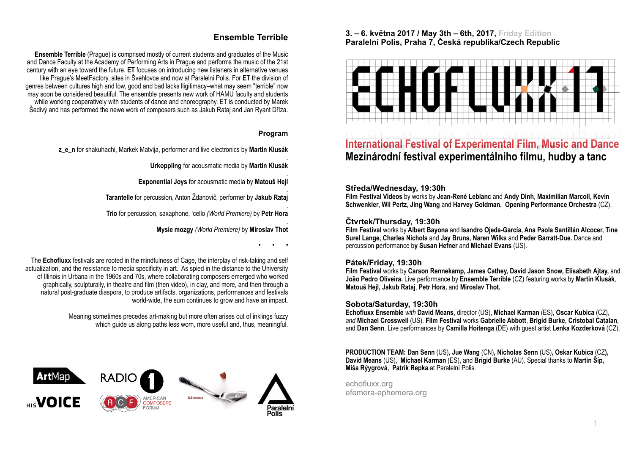# **Ensemble Terrible**

**Ensemble Terrible** (Prague) is comprised mostly of current students and graduates of the Music and Dance Faculty at the Academy of Performing Arts in Prague and performs the music of the 21st century with an eye toward the future. **ET** focuses on introducing new listeners in alternative venues like Prague's MeetFactory, sites in Švehlovce and now at Paralelni Polis. For **ET** the division of genres between cultures high and low, good and bad lacks lligitimacy–what may seem "terrible" now may soon be considered beautiful. The ensemble presents new work of HAMU faculty and students while working cooperatively with students of dance and choreography. ET is conducted by Marek Šedivý and has performed the newe work of composers such as Jakub Rataj and Jan Ryant Dříza.

# **Program**

**z\_e\_n** for shakuhachi, Markek Matvija, performer and live electronics by **Martin Klusák**

. **Urkoppling** for acousmatic media by **Martin Klusák**

. **Exponential Joys** for acousmatic media by **Matouš Hejl**

. **Tarantelle** for percussion, Anton Ždanovič, performer by **Jakub Rataj**

. **Trio** for percussion, saxaphone, 'cello *(World Premiere)* by **Petr Hora**

> . **Mysie mozgy** *(World Premiere)* by **Miroslav Thot**

> > **• • •**

The **Echofluxx** festivals are rooted in the mindfulness of Cage, the interplay of risk-taking and self actualization, and the resistance to media specificity in art. As spied in the distance to the University of Illinois in Urbana in the 1960s and 70s, where collaborating composers emerged who worked graphically, sculpturally, in theatre and film (then video), in clay, and more, and then through a natural post-graduate diaspora, to produce artifacts, organizations, performances and festivals world-wide, the sum continues to grow and have an impact.

> Meaning sometimes precedes art-making but more often arises out of inklings fuzzy which guide us along paths less worn, more useful and, thus, meaningful.



# **3. – 6. května 2017 / May 3th – 6th, 2017, Friday Edition Paralelní Polis, Praha 7, Česká republika/Czech Republic**



# **International Festival of Experimental Film, Music and Dance Mezinárodní festival experimentálniho filmu, hudby a tanc**

# **. Středa/Wednesday, 19:30h**

**Film Festival Videos** by works by **Jean-René Leblanc** and **Andy Dinh**, **Maximilian Marcoll**, **Kevin Schwenkler**, **Wil Pertz**, **Jing Wang** and **Harvey Goldman. Opening Performance Orchestra** (CZ).

# **Čtvrtek/Thursday, 19:30h**

**Film Festival** works by **Albert Bayona** and **Isandro Ojeda-García, Ana Paola Santillán Alcocer, Tine Surel Lange, Charles Nichols** and **Jay Bruns, Naren Wilks** and **Peder Barratt-Due.** Dance and percussion **p**erformance b**y Susan Hefner** and **Michael Evans** (US).

# **Pátek/Friday, 19:30h**

**Film Festival** works by **Carson Rennekamp, James Cathey, David Jason Snow, Elisabeth Ajtay,** and **João Pedro Oliveira.** Live performance by **Ensemble Terrible** (CZ) featuring works by **Martin Klusák**, **[Matou](http://www.matoushejl.com/)š Hejl, Jakub Rataj**, **Petr Hora,** and **Miroslav Thot.**

# **Sobota/Saturday, 19:30h**

**Echofluxx Ensemble** *with* **David Means**, director (US), **Michael Karman** (ES), **Oscar Kubica** (CZ), *and* **Michael Crosswell** (US). **Film Festival** works **Gabrielle Abbott**, **Brigid Burke**, **Cristobal Catalan**, and **Dan Senn**. Live performances by **Camilla Hoitenga** (DE) with guest artist **Lenka Kozderková** (CZ).

**PRODUCTION TEAM: Dan Senn** (US)**, Jue Wang** (CN)**, Nicholas Senn** (US)**, Oskar Kubica** (CZ**), David Means** (US), **Michael Karman** (ES), and **Brigid Burke** (AU). Special thanks to **Martin Šíp, Miša Rýygrová, Patrik Repka** at Paralelní Polis.

echofluxx.org efemera-ephemera.org